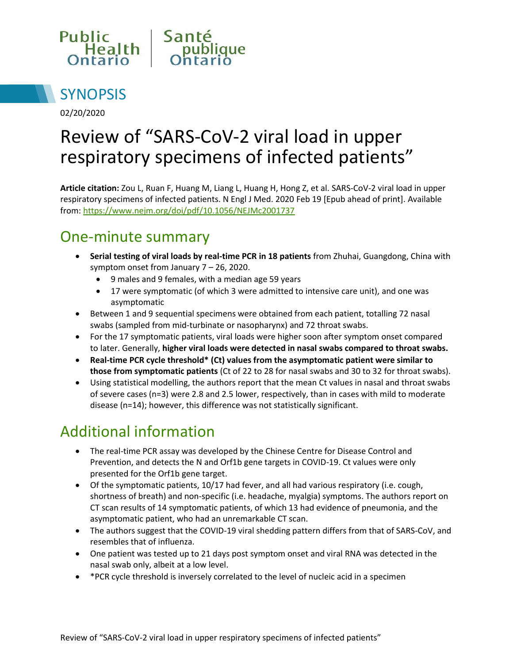



02/20/2020

# Review of "SARS-CoV-2 viral load in upper respiratory specimens of infected patients"

**Article citation:** Zou L, Ruan F, Huang M, Liang L, Huang H, Hong Z, et al. SARS-CoV-2 viral load in upper respiratory specimens of infected patients. N Engl J Med. 2020 Feb 19 [Epub ahead of print]. Available from:<https://www.nejm.org/doi/pdf/10.1056/NEJMc2001737>

## One-minute summary

- **Serial testing of viral loads by real-time PCR in 18 patients** from Zhuhai, Guangdong, China with symptom onset from January 7 – 26, 2020.
	- 9 males and 9 females, with a median age 59 years
	- 17 were symptomatic (of which 3 were admitted to intensive care unit), and one was asymptomatic
- Between 1 and 9 sequential specimens were obtained from each patient, totalling 72 nasal swabs (sampled from mid-turbinate or nasopharynx) and 72 throat swabs.
- For the 17 symptomatic patients, viral loads were higher soon after symptom onset compared to later. Generally, **higher viral loads were detected in nasal swabs compared to throat swabs.**
- **Real-time PCR cycle threshold\* (Ct) values from the asymptomatic patient were similar to those from symptomatic patients** (Ct of 22 to 28 for nasal swabs and 30 to 32 for throat swabs).
- Using statistical modelling, the authors report that the mean Ct values in nasal and throat swabs of severe cases (n=3) were 2.8 and 2.5 lower, respectively, than in cases with mild to moderate disease (n=14); however, this difference was not statistically significant.

#### Additional information

- The real-time PCR assay was developed by the Chinese Centre for Disease Control and Prevention, and detects the N and Orf1b gene targets in COVID-19. Ct values were only presented for the Orf1b gene target.
- Of the symptomatic patients, 10/17 had fever, and all had various respiratory (i.e. cough, shortness of breath) and non-specific (i.e. headache, myalgia) symptoms. The authors report on CT scan results of 14 symptomatic patients, of which 13 had evidence of pneumonia, and the asymptomatic patient, who had an unremarkable CT scan.
- The authors suggest that the COVID-19 viral shedding pattern differs from that of SARS-CoV, and resembles that of influenza.
- One patient was tested up to 21 days post symptom onset and viral RNA was detected in the nasal swab only, albeit at a low level.
- \*PCR cycle threshold is inversely correlated to the level of nucleic acid in a specimen